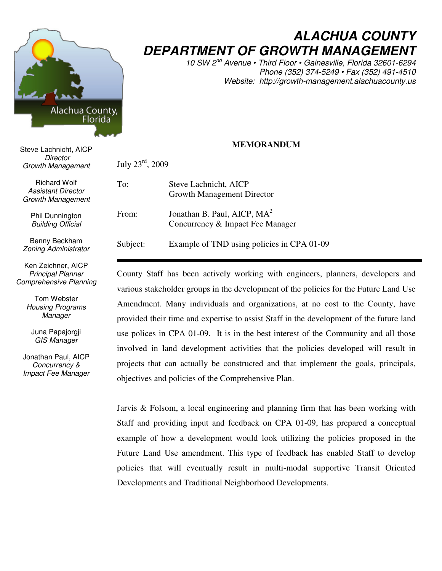

# **ALACHUA COUNTY DEPARTMENT OF GROWTH MANAGEMENT**

10 SW 2<sup>nd</sup> Avenue • Third Floor • Gainesville, Florida 32601-6294 Phone (352) 374-5249 • Fax (352) 491-4510 Website: http://growth-management.alachuacounty.us

## **MEMORANDUM**

Steve Lachnicht, AICP **Director** Growth Management

Richard Wolf Assistant Director Growth Management

> Phil Dunnington Building Official

Benny Beckham Zoning Administrator

Ken Zeichner, AICP Principal Planner Comprehensive Planning

> Tom Webster Housing Programs Manager

Juna Papajorgji GIS Manager

Jonathan Paul, AICP Concurrency & Impact Fee Manager July 23rd, 2009

| To:   | Steve Lachnicht, AICP<br><b>Growth Management Director</b>                  |
|-------|-----------------------------------------------------------------------------|
| From: | Jonathan B. Paul, AICP, MA <sup>2</sup><br>Concurrency & Impact Fee Manager |

Subject: Example of TND using policies in CPA 01-09

County Staff has been actively working with engineers, planners, developers and various stakeholder groups in the development of the policies for the Future Land Use Amendment. Many individuals and organizations, at no cost to the County, have provided their time and expertise to assist Staff in the development of the future land use polices in CPA 01-09. It is in the best interest of the Community and all those involved in land development activities that the policies developed will result in projects that can actually be constructed and that implement the goals, principals, objectives and policies of the Comprehensive Plan.

Jarvis & Folsom, a local engineering and planning firm that has been working with Staff and providing input and feedback on CPA 01-09, has prepared a conceptual example of how a development would look utilizing the policies proposed in the Future Land Use amendment. This type of feedback has enabled Staff to develop policies that will eventually result in multi-modal supportive Transit Oriented Developments and Traditional Neighborhood Developments.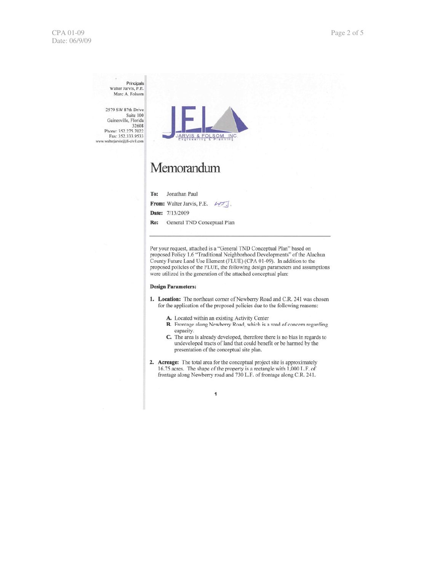Principals Walter Jarvis, P.E. Marc A. Folsom

2579 SW 87th Drive Suite 100 Gainesville, Florida 32608 Phone: 352.275.7022<br>Fax: 352.333.9533 www.walterjarvis@jfi-civil.com



# Memorandum

To: Jonathan Paul From: Walter Jarvis, P.E. 47. Date: 7/13/2009

Re: General TND Conceptual Plan

Per your request, attached is a "General TND Conceptual Plan" based on<br>proposed Policy 1.6 "Traditional Neighborhood Developments" of the Alachua<br>County Future Land Use Element (FLUE) (CPA 01-09). In addition to the proposed policies of the FLUE, the following design parameters and assumptions were utilized in the generation of the attached conceptual plan:

### **Design Parameters:**

- 1. Location: The northeast corner of Newberry Road and C.R. 241 was chosen for the application of the proposed policies due to the following reasons:
	- A. Located within an existing Activity Center

 $\mathbf{1}$ 

- B. Frontage along Newberry Road, which is a road of concern regarding capacity.
- C. The area is already developed, therefore there is no bias in regards to undeveloped tracts of land that could benefit or be harmed by the presentation of the conceptual site plan.
- 2. Acreage: The total area for the conceptual project site is approximately 16.75 acres. The shape of the property is a rectangle with 1,000 L.F. of frontage along Newberry road and 730 L.F. of frontage along C.R. 241.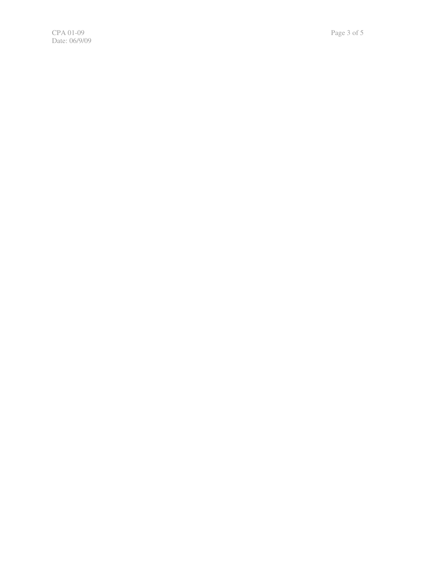CPA 01-09 Page 3 of 5 Date: 06/9/09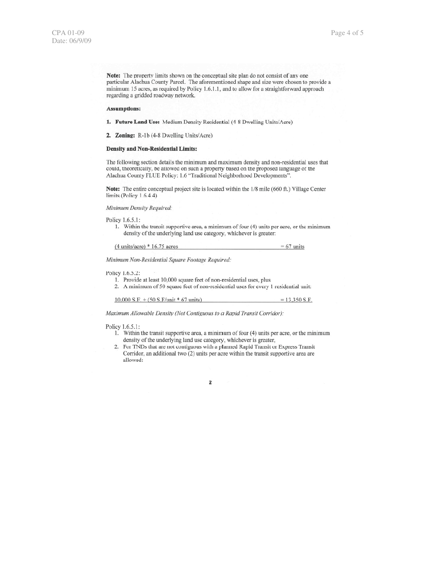Note: The property limits shown on the conceptual site plan do not consist of any one particular Alachua County Parcel. The aforementioned shape and size were chosen to provide a minimum 15 acres, as required by Policy 1.6.1.1, and to allow for a straightforward approach regarding a gridded roadway network.

### **Assumptions:**

- 1. Future Land Use: Medium Density Residential (4-8 Dwelling Units/Acre)
- 2. Zoning: R-1b (4-8 Dwelling Units/Acre)

#### **Density and Non-Residential Limits:**

The following section details the minimum and maximum density and non-residential uses that could, theoretically, be allowed on such a property based on the proposed language of the Alachua County FLUE Policy: 1.6 "Traditional Neighborhood Developments".

Note: The entire conceptual project site is located within the 1/8 mile (660 ft.) Village Center limits (Policy 1.6.4.4)

Minimum Density Required:

Policy 1.6.5.1:

1. Within the transit supportive area, a minimum of four (4) units per acre, or the minimum density of the underlying land use category, whichever is greater:

 $= 67$  units

 $(4 \text{ units/acre}) * 16.75 \text{ acres}$ 

Minimum Non-Residential Square Footage Required:

Policy 1.6.5.2:

- 1. Provide at least 10,000 square feet of non-residential uses, plus
- 2. A minimum of 50 square feet of non-residential uses for every 1 residential unit:

 $10,000$  S.F. + (50 S.F/unit \* 67 units)  $= 13,350$  S.F.

Maximum Allowable Density (Not Contiguous to a Rapid Transit Corridor):

Policy 1.6.5.1:

- 1. Within the transit supportive area, a minimum of four (4) units per acre, or the minimum density of the underlying land use category, whichever is greater,
- 2. For TNDs that are not contiguous with a planned Rapid Transit or Express Transit Corridor, an additional two (2) units per acre within the transit supportive area are allowed:

 $\overline{\mathbf{2}}$